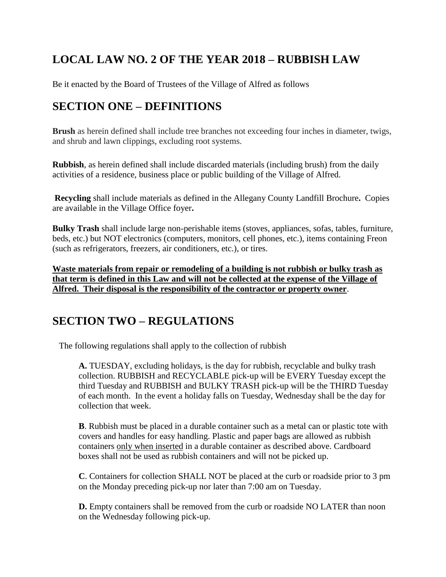# **LOCAL LAW NO. 2 OF THE YEAR 2018 – RUBBISH LAW**

Be it enacted by the Board of Trustees of the Village of Alfred as follows

## **SECTION ONE – DEFINITIONS**

**Brush** as herein defined shall include tree branches not exceeding four inches in diameter, twigs, and shrub and lawn clippings, excluding root systems.

**Rubbish**, as herein defined shall include discarded materials (including brush) from the daily activities of a residence, business place or public building of the Village of Alfred.

**Recycling** shall include materials as defined in the Allegany County Landfill Brochure**.** Copies are available in the Village Office foyer**.**

**Bulky Trash** shall include large non-perishable items (stoves, appliances, sofas, tables, furniture, beds, etc.) but NOT electronics (computers, monitors, cell phones, etc.), items containing Freon (such as refrigerators, freezers, air conditioners, etc.), or tires.

**Waste materials from repair or remodeling of a building is not rubbish or bulky trash as that term is defined in this Law and will not be collected at the expense of the Village of Alfred. Their disposal is the responsibility of the contractor or property owner**.

## **SECTION TWO – REGULATIONS**

The following regulations shall apply to the collection of rubbish

**A.** TUESDAY, excluding holidays, is the day for rubbish, recyclable and bulky trash collection. RUBBISH and RECYCLABLE pick-up will be EVERY Tuesday except the third Tuesday and RUBBISH and BULKY TRASH pick-up will be the THIRD Tuesday of each month. In the event a holiday falls on Tuesday, Wednesday shall be the day for collection that week.

**B**. Rubbish must be placed in a durable container such as a metal can or plastic tote with covers and handles for easy handling. Plastic and paper bags are allowed as rubbish containers only when inserted in a durable container as described above. Cardboard boxes shall not be used as rubbish containers and will not be picked up.

**C**. Containers for collection SHALL NOT be placed at the curb or roadside prior to 3 pm on the Monday preceding pick-up nor later than 7:00 am on Tuesday.

**D.** Empty containers shall be removed from the curb or roadside NO LATER than noon on the Wednesday following pick-up.